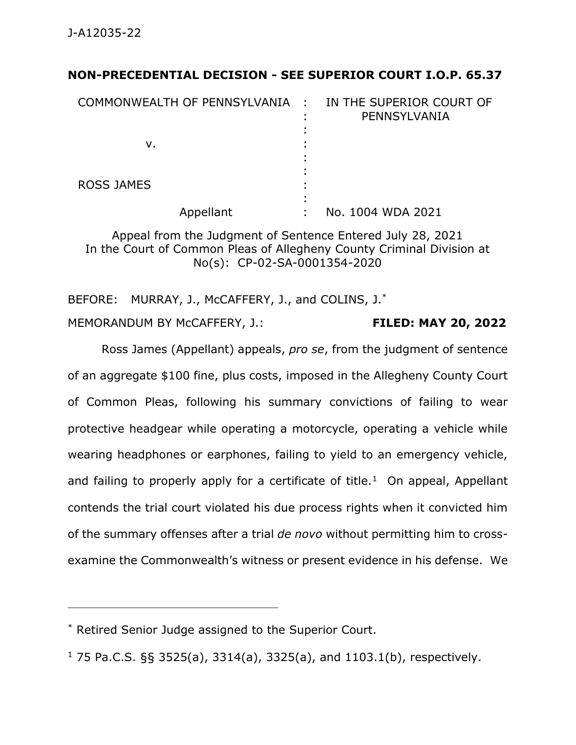## **NON-PRECEDENTIAL DECISION - SEE SUPERIOR COURT I.O.P. 65.37**

| COMMONWEALTH OF PENNSYLVANIA :<br>v. | IN THE SUPERIOR COURT OF<br>PENNSYLVANIA |
|--------------------------------------|------------------------------------------|
| <b>ROSS JAMES</b><br>Appellant       | No. 1004 WDA 2021                        |

Appeal from the Judgment of Sentence Entered July 28, 2021 In the Court of Common Pleas of Allegheny County Criminal Division at No(s): CP-02-SA-0001354-2020

BEFORE: MURRAY, J., McCAFFERY, J., and COLINS, J.<sup>\*</sup> MEMORANDUM BY McCAFFERY, J.: **FILED: MAY 20, 2022**

Ross James (Appellant) appeals, *pro se*, from the judgment of sentence of an aggregate \$100 fine, plus costs, imposed in the Allegheny County Court of Common Pleas, following his summary convictions of failing to wear protective headgear while operating a motorcycle, operating a vehicle while wearing headphones or earphones, failing to yield to an emergency vehicle, and failing to properly apply for a certificate of title.<sup>1</sup> On appeal, Appellant contends the trial court violated his due process rights when it convicted him of the summary offenses after a trial *de novo* without permitting him to crossexamine the Commonwealth's witness or present evidence in his defense. We

\* Retired Senior Judge assigned to the Superior Court.

 $1$  75 Pa.C.S. §§ 3525(a), 3314(a), 3325(a), and 1103.1(b), respectively.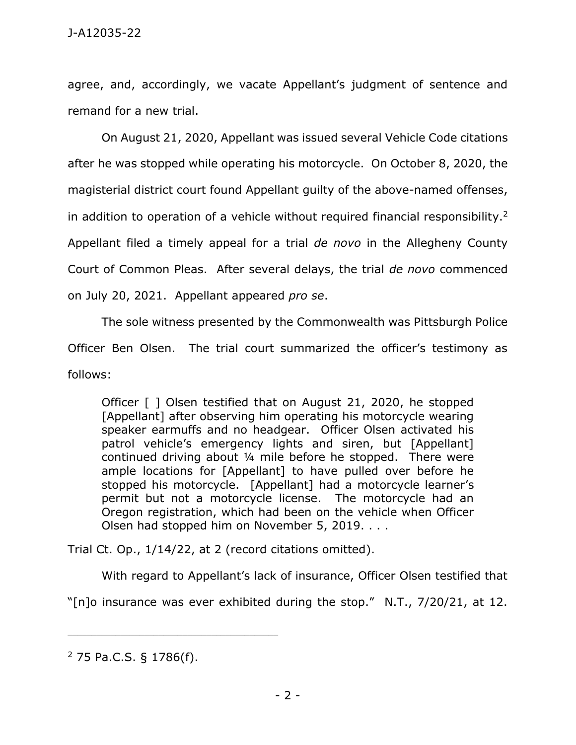agree, and, accordingly, we vacate Appellant's judgment of sentence and remand for a new trial.

On August 21, 2020, Appellant was issued several Vehicle Code citations after he was stopped while operating his motorcycle. On October 8, 2020, the magisterial district court found Appellant guilty of the above-named offenses, in addition to operation of a vehicle without required financial responsibility. 2 Appellant filed a timely appeal for a trial *de novo* in the Allegheny County Court of Common Pleas. After several delays, the trial *de novo* commenced on July 20, 2021. Appellant appeared *pro se*.

The sole witness presented by the Commonwealth was Pittsburgh Police Officer Ben Olsen. The trial court summarized the officer's testimony as follows:

Officer [ ] Olsen testified that on August 21, 2020, he stopped [Appellant] after observing him operating his motorcycle wearing speaker earmuffs and no headgear. Officer Olsen activated his patrol vehicle's emergency lights and siren, but [Appellant] continued driving about ¼ mile before he stopped. There were ample locations for [Appellant] to have pulled over before he stopped his motorcycle. [Appellant] had a motorcycle learner's permit but not a motorcycle license. The motorcycle had an Oregon registration, which had been on the vehicle when Officer Olsen had stopped him on November 5, 2019. . . .

Trial Ct. Op., 1/14/22, at 2 (record citations omitted).

With regard to Appellant's lack of insurance, Officer Olsen testified that

"[n]o insurance was ever exhibited during the stop." N.T., 7/20/21, at 12.

<sup>2</sup> 75 Pa.C.S. § 1786(f).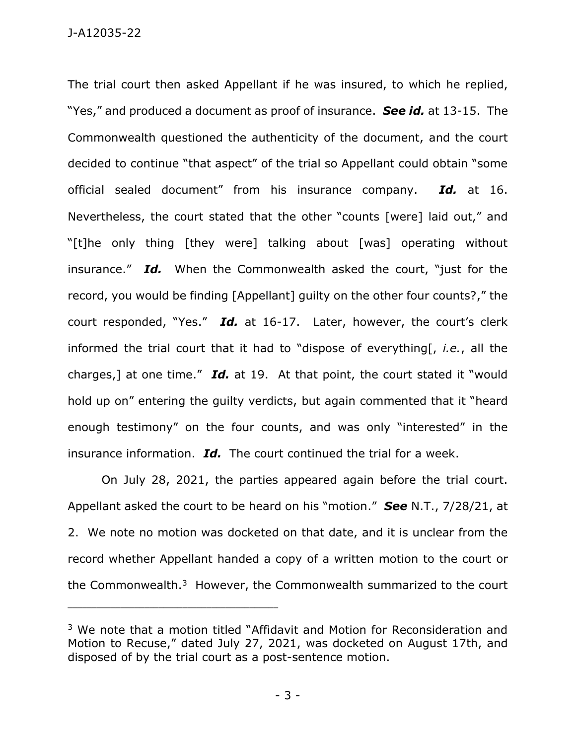J-A12035-22

The trial court then asked Appellant if he was insured, to which he replied, "Yes," and produced a document as proof of insurance. *See id.* at 13-15. The Commonwealth questioned the authenticity of the document, and the court decided to continue "that aspect" of the trial so Appellant could obtain "some official sealed document" from his insurance company. *Id.* at 16. Nevertheless, the court stated that the other "counts [were] laid out," and "[t]he only thing [they were] talking about [was] operating without insurance." *Id.* When the Commonwealth asked the court, "just for the record, you would be finding [Appellant] guilty on the other four counts?," the court responded, "Yes." *Id.* at 16-17. Later, however, the court's clerk informed the trial court that it had to "dispose of everything[, *i.e.*, all the charges,] at one time." *Id.* at 19. At that point, the court stated it "would hold up on" entering the guilty verdicts, but again commented that it "heard enough testimony" on the four counts, and was only "interested" in the insurance information. *Id.* The court continued the trial for a week.

On July 28, 2021, the parties appeared again before the trial court. Appellant asked the court to be heard on his "motion." *See* N.T., 7/28/21, at 2. We note no motion was docketed on that date, and it is unclear from the record whether Appellant handed a copy of a written motion to the court or the Commonwealth.<sup>3</sup> However, the Commonwealth summarized to the court

<sup>&</sup>lt;sup>3</sup> We note that a motion titled "Affidavit and Motion for Reconsideration and Motion to Recuse," dated July 27, 2021, was docketed on August 17th, and disposed of by the trial court as a post-sentence motion.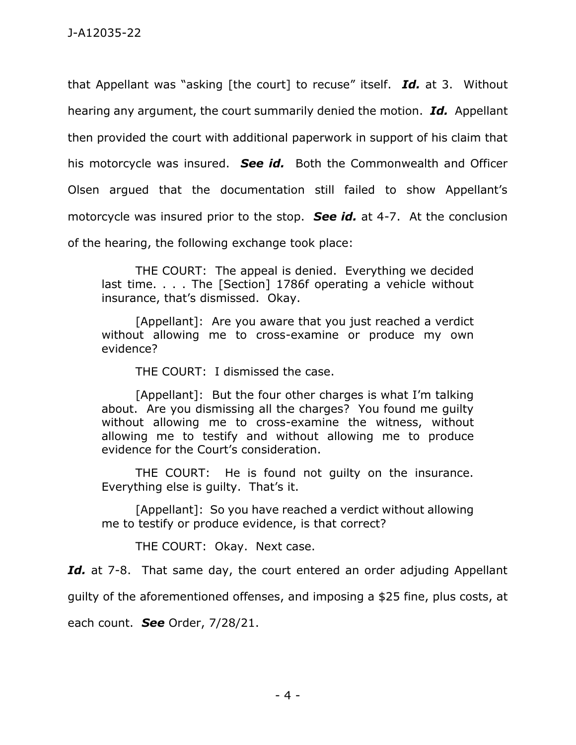that Appellant was "asking [the court] to recuse" itself. *Id.* at 3. Without hearing any argument, the court summarily denied the motion. *Id.* Appellant then provided the court with additional paperwork in support of his claim that his motorcycle was insured. *See id.* Both the Commonwealth and Officer Olsen argued that the documentation still failed to show Appellant's motorcycle was insured prior to the stop. *See id.* at 4-7. At the conclusion of the hearing, the following exchange took place:

THE COURT: The appeal is denied. Everything we decided last time. . . . The [Section] 1786f operating a vehicle without insurance, that's dismissed. Okay.

[Appellant]: Are you aware that you just reached a verdict without allowing me to cross-examine or produce my own evidence?

THE COURT: I dismissed the case.

[Appellant]: But the four other charges is what I'm talking about. Are you dismissing all the charges? You found me guilty without allowing me to cross-examine the witness, without allowing me to testify and without allowing me to produce evidence for the Court's consideration.

THE COURT: He is found not guilty on the insurance. Everything else is guilty. That's it.

[Appellant]: So you have reached a verdict without allowing me to testify or produce evidence, is that correct?

THE COURT: Okay. Next case.

Id. at 7-8. That same day, the court entered an order adjuding Appellant

guilty of the aforementioned offenses, and imposing a \$25 fine, plus costs, at

each count. *See* Order, 7/28/21.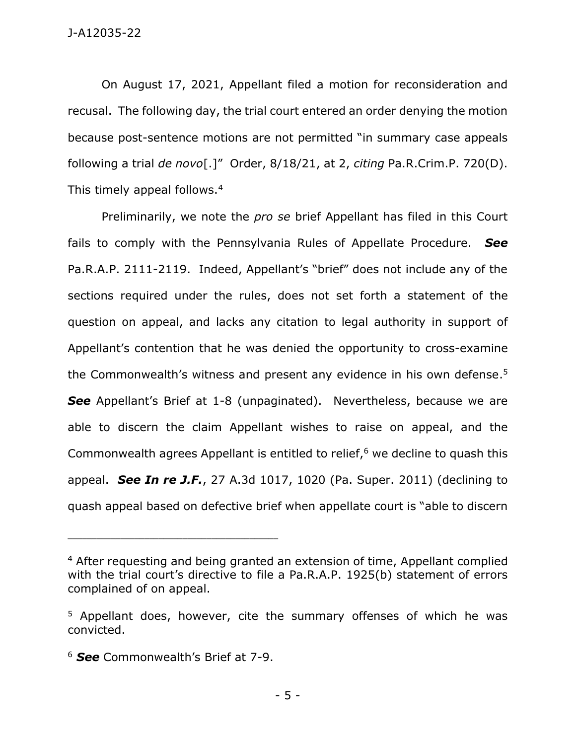On August 17, 2021, Appellant filed a motion for reconsideration and recusal. The following day, the trial court entered an order denying the motion because post-sentence motions are not permitted "in summary case appeals following a trial *de novo*[.]" Order, 8/18/21, at 2, *citing* Pa.R.Crim.P. 720(D). This timely appeal follows.<sup>4</sup>

Preliminarily, we note the *pro se* brief Appellant has filed in this Court fails to comply with the Pennsylvania Rules of Appellate Procedure. *See*  Pa.R.A.P. 2111-2119. Indeed, Appellant's "brief" does not include any of the sections required under the rules, does not set forth a statement of the question on appeal, and lacks any citation to legal authority in support of Appellant's contention that he was denied the opportunity to cross-examine the Commonwealth's witness and present any evidence in his own defense. 5 **See** Appellant's Brief at 1-8 (unpaginated). Nevertheless, because we are able to discern the claim Appellant wishes to raise on appeal, and the Commonwealth agrees Appellant is entitled to relief, <sup>6</sup> we decline to quash this appeal. *See In re J.F.*, 27 A.3d 1017, 1020 (Pa. Super. 2011) (declining to quash appeal based on defective brief when appellate court is "able to discern

<sup>6</sup> *See* Commonwealth's Brief at 7-9.

<sup>&</sup>lt;sup>4</sup> After requesting and being granted an extension of time, Appellant complied with the trial court's directive to file a Pa.R.A.P. 1925(b) statement of errors complained of on appeal.

<sup>&</sup>lt;sup>5</sup> Appellant does, however, cite the summary offenses of which he was convicted.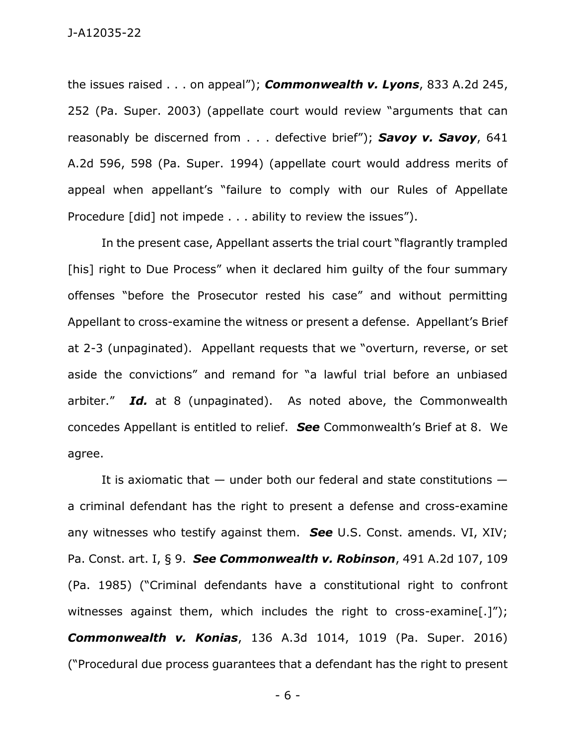the issues raised . . . on appeal"); *Commonwealth v. Lyons*, 833 A.2d 245, 252 (Pa. Super. 2003) (appellate court would review "arguments that can reasonably be discerned from . . . defective brief"); *Savoy v. Savoy*, 641 A.2d 596, 598 (Pa. Super. 1994) (appellate court would address merits of appeal when appellant's "failure to comply with our Rules of Appellate Procedure [did] not impede . . . ability to review the issues").

In the present case, Appellant asserts the trial court "flagrantly trampled [his] right to Due Process" when it declared him quilty of the four summary offenses "before the Prosecutor rested his case" and without permitting Appellant to cross-examine the witness or present a defense. Appellant's Brief at 2-3 (unpaginated). Appellant requests that we "overturn, reverse, or set aside the convictions" and remand for "a lawful trial before an unbiased arbiter." *Id.* at 8 (unpaginated). As noted above, the Commonwealth concedes Appellant is entitled to relief. *See* Commonwealth's Brief at 8. We agree.

It is axiomatic that — under both our federal and state constitutions a criminal defendant has the right to present a defense and cross-examine any witnesses who testify against them. *See* U.S. Const. amends. VI, XIV; Pa. Const. art. I, § 9. *See Commonwealth v. Robinson*, 491 A.2d 107, 109 (Pa. 1985) ("Criminal defendants have a constitutional right to confront witnesses against them, which includes the right to cross-examine[.]"); *Commonwealth v. Konias*, 136 A.3d 1014, 1019 (Pa. Super. 2016) ("Procedural due process guarantees that a defendant has the right to present

- 6 -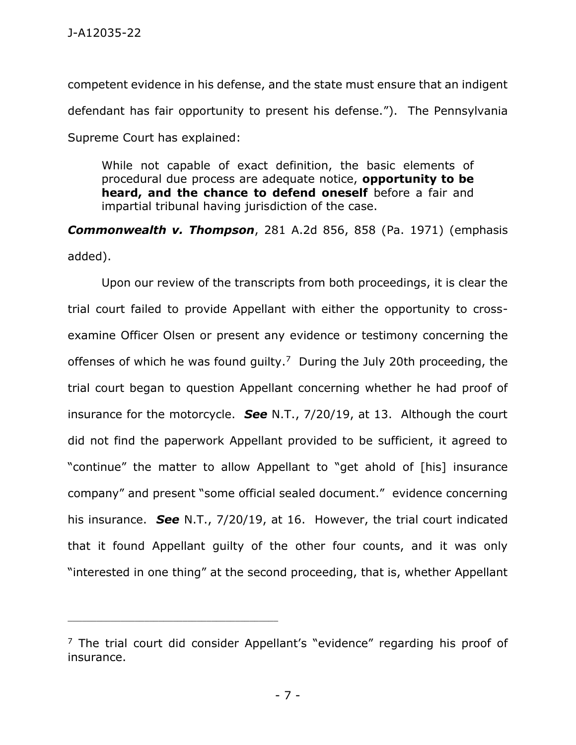competent evidence in his defense, and the state must ensure that an indigent defendant has fair opportunity to present his defense."). The Pennsylvania Supreme Court has explained:

While not capable of exact definition, the basic elements of procedural due process are adequate notice, **opportunity to be heard, and the chance to defend oneself** before a fair and impartial tribunal having jurisdiction of the case.

*Commonwealth v. Thompson*, 281 A.2d 856, 858 (Pa. 1971) (emphasis added).

Upon our review of the transcripts from both proceedings, it is clear the trial court failed to provide Appellant with either the opportunity to crossexamine Officer Olsen or present any evidence or testimony concerning the offenses of which he was found guilty.<sup>7</sup> During the July 20th proceeding, the trial court began to question Appellant concerning whether he had proof of insurance for the motorcycle. *See* N.T., 7/20/19, at 13. Although the court did not find the paperwork Appellant provided to be sufficient, it agreed to "continue" the matter to allow Appellant to "get ahold of [his] insurance company" and present "some official sealed document." evidence concerning his insurance. *See* N.T., 7/20/19, at 16. However, the trial court indicated that it found Appellant guilty of the other four counts, and it was only "interested in one thing" at the second proceeding, that is, whether Appellant

 $<sup>7</sup>$  The trial court did consider Appellant's "evidence" regarding his proof of</sup> insurance.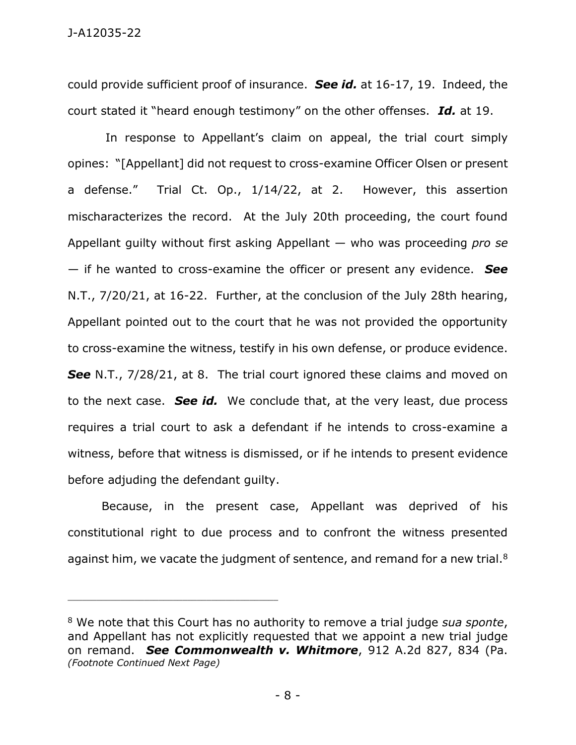could provide sufficient proof of insurance. *See id.* at 16-17, 19. Indeed, the court stated it "heard enough testimony" on the other offenses. *Id.* at 19.

In response to Appellant's claim on appeal, the trial court simply opines: "[Appellant] did not request to cross-examine Officer Olsen or present a defense." Trial Ct. Op., 1/14/22, at 2. However, this assertion mischaracterizes the record. At the July 20th proceeding, the court found Appellant guilty without first asking Appellant — who was proceeding *pro se* — if he wanted to cross-examine the officer or present any evidence. *See* N.T., 7/20/21, at 16-22. Further, at the conclusion of the July 28th hearing, Appellant pointed out to the court that he was not provided the opportunity to cross-examine the witness, testify in his own defense, or produce evidence. **See** N.T., 7/28/21, at 8. The trial court ignored these claims and moved on to the next case. *See id.* We conclude that, at the very least, due process requires a trial court to ask a defendant if he intends to cross-examine a witness, before that witness is dismissed, or if he intends to present evidence before adjuding the defendant guilty.

Because, in the present case, Appellant was deprived of his constitutional right to due process and to confront the witness presented against him, we vacate the judgment of sentence, and remand for a new trial.<sup>8</sup>

<sup>8</sup> We note that this Court has no authority to remove a trial judge *sua sponte*, and Appellant has not explicitly requested that we appoint a new trial judge on remand. *See Commonwealth v. Whitmore*, 912 A.2d 827, 834 (Pa. *(Footnote Continued Next Page)*